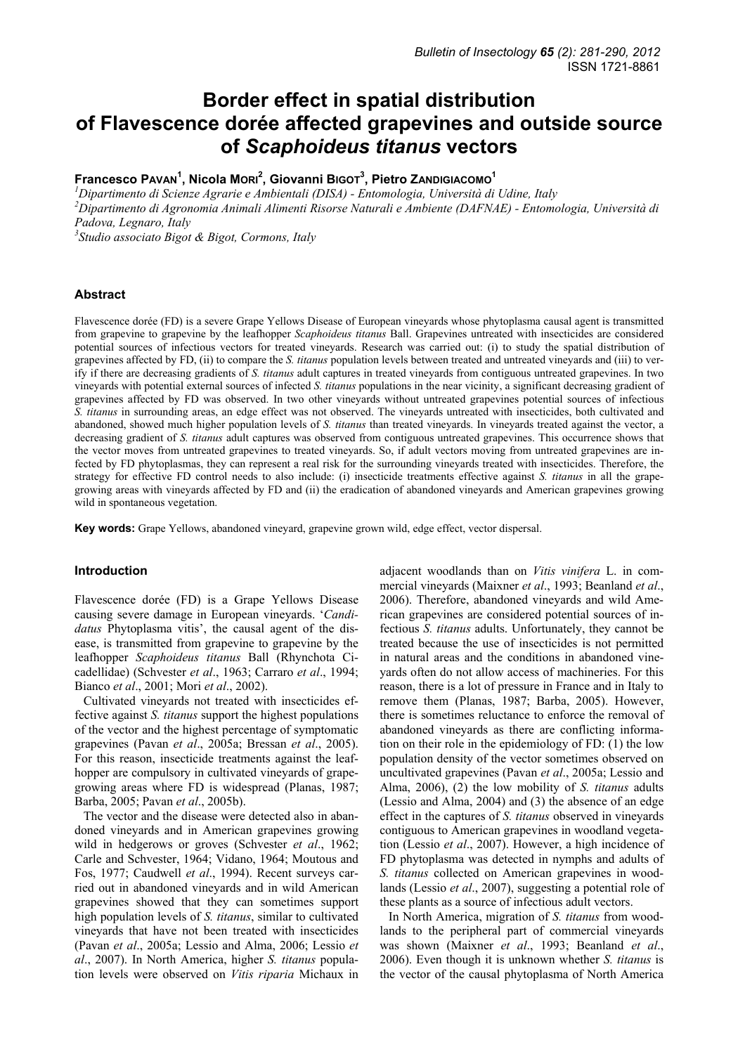# **Border effect in spatial distribution of Flavescence dorée affected grapevines and outside source of** *Scaphoideus titanus* **vectors**

# **Francesco PAVAN<sup>1</sup> , Nicola MORI<sup>2</sup> , Giovanni BIGOT3 , Pietro ZANDIGIACOMO1**

 *Dipartimento di Scienze Agrarie e Ambientali (DISA) - Entomologia, Università di Udine, Italy Dipartimento di Agronomia Animali Alimenti Risorse Naturali e Ambiente (DAFNAE) - Entomologia, Università di Padova, Legnaro, Italy Studio associato Bigot & Bigot, Cormons, Italy* 

# **Abstract**

Flavescence dorée (FD) is a severe Grape Yellows Disease of European vineyards whose phytoplasma causal agent is transmitted from grapevine to grapevine by the leafhopper *Scaphoideus titanus* Ball. Grapevines untreated with insecticides are considered potential sources of infectious vectors for treated vineyards. Research was carried out: (i) to study the spatial distribution of grapevines affected by FD, (ii) to compare the *S. titanus* population levels between treated and untreated vineyards and (iii) to verify if there are decreasing gradients of *S. titanus* adult captures in treated vineyards from contiguous untreated grapevines. In two vineyards with potential external sources of infected *S. titanus* populations in the near vicinity, a significant decreasing gradient of grapevines affected by FD was observed. In two other vineyards without untreated grapevines potential sources of infectious *S. titanus* in surrounding areas, an edge effect was not observed. The vineyards untreated with insecticides, both cultivated and abandoned, showed much higher population levels of *S. titanus* than treated vineyards. In vineyards treated against the vector, a decreasing gradient of *S. titanus* adult captures was observed from contiguous untreated grapevines. This occurrence shows that the vector moves from untreated grapevines to treated vineyards. So, if adult vectors moving from untreated grapevines are infected by FD phytoplasmas, they can represent a real risk for the surrounding vineyards treated with insecticides. Therefore, the strategy for effective FD control needs to also include: (i) insecticide treatments effective against *S. titanus* in all the grapegrowing areas with vineyards affected by FD and (ii) the eradication of abandoned vineyards and American grapevines growing wild in spontaneous vegetation.

**Key words:** Grape Yellows, abandoned vineyard, grapevine grown wild, edge effect, vector dispersal.

# **Introduction**

Flavescence dorée (FD) is a Grape Yellows Disease causing severe damage in European vineyards. '*Candidatus* Phytoplasma vitis', the causal agent of the disease, is transmitted from grapevine to grapevine by the leafhopper *Scaphoideus titanus* Ball (Rhynchota Cicadellidae) (Schvester *et al*., 1963; Carraro *et al*., 1994; Bianco *et al*., 2001; Mori *et al*., 2002).

Cultivated vineyards not treated with insecticides effective against *S. titanus* support the highest populations of the vector and the highest percentage of symptomatic grapevines (Pavan *et al*., 2005a; Bressan *et al*., 2005). For this reason, insecticide treatments against the leafhopper are compulsory in cultivated vineyards of grapegrowing areas where FD is widespread (Planas, 1987; Barba, 2005; Pavan *et al*., 2005b).

The vector and the disease were detected also in abandoned vineyards and in American grapevines growing wild in hedgerows or groves (Schvester *et al*., 1962; Carle and Schvester, 1964; Vidano, 1964; Moutous and Fos, 1977; Caudwell *et al*., 1994). Recent surveys carried out in abandoned vineyards and in wild American grapevines showed that they can sometimes support high population levels of *S. titanus*, similar to cultivated vineyards that have not been treated with insecticides (Pavan *et al*., 2005a; Lessio and Alma, 2006; Lessio *et al*., 2007). In North America, higher *S. titanus* population levels were observed on *Vitis riparia* Michaux in

adjacent woodlands than on *Vitis vinifera* L. in commercial vineyards (Maixner *et al*., 1993; Beanland *et al*., 2006). Therefore, abandoned vineyards and wild American grapevines are considered potential sources of infectious *S. titanus* adults. Unfortunately, they cannot be treated because the use of insecticides is not permitted in natural areas and the conditions in abandoned vineyards often do not allow access of machineries. For this reason, there is a lot of pressure in France and in Italy to remove them (Planas, 1987; Barba, 2005). However, there is sometimes reluctance to enforce the removal of abandoned vineyards as there are conflicting information on their role in the epidemiology of FD: (1) the low population density of the vector sometimes observed on uncultivated grapevines (Pavan *et al*., 2005a; Lessio and Alma, 2006), (2) the low mobility of *S. titanus* adults (Lessio and Alma, 2004) and (3) the absence of an edge effect in the captures of *S. titanus* observed in vineyards contiguous to American grapevines in woodland vegetation (Lessio *et al*., 2007). However, a high incidence of FD phytoplasma was detected in nymphs and adults of *S. titanus* collected on American grapevines in woodlands (Lessio *et al*., 2007), suggesting a potential role of these plants as a source of infectious adult vectors.

In North America, migration of *S. titanus* from woodlands to the peripheral part of commercial vineyards was shown (Maixner *et al*., 1993; Beanland *et al*., 2006). Even though it is unknown whether *S. titanus* is the vector of the causal phytoplasma of North America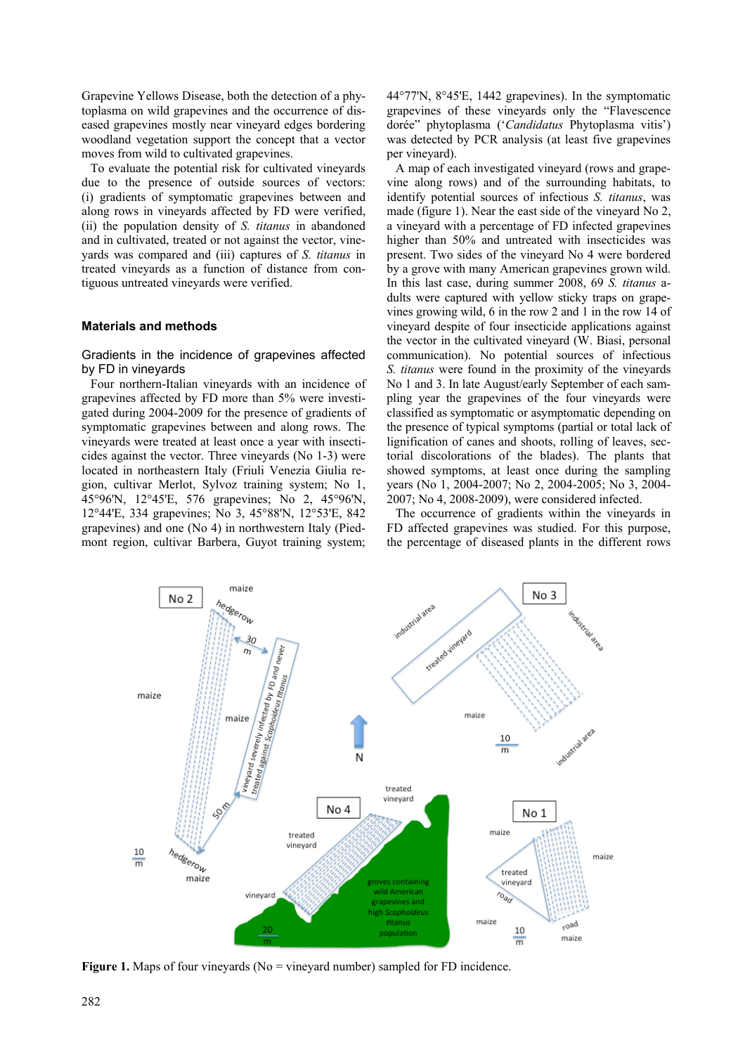Grapevine Yellows Disease, both the detection of a phytoplasma on wild grapevines and the occurrence of diseased grapevines mostly near vineyard edges bordering woodland vegetation support the concept that a vector moves from wild to cultivated grapevines.

To evaluate the potential risk for cultivated vineyards due to the presence of outside sources of vectors: (i) gradients of symptomatic grapevines between and along rows in vineyards affected by FD were verified, (ii) the population density of *S. titanus* in abandoned and in cultivated, treated or not against the vector, vineyards was compared and (iii) captures of *S. titanus* in treated vineyards as a function of distance from contiguous untreated vineyards were verified.

#### **Materials and methods**

### Gradients in the incidence of grapevines affected by FD in vineyards

Four northern-Italian vineyards with an incidence of grapevines affected by FD more than 5% were investigated during 2004-2009 for the presence of gradients of symptomatic grapevines between and along rows. The vineyards were treated at least once a year with insecticides against the vector. Three vineyards (No 1-3) were located in northeastern Italy (Friuli Venezia Giulia region, cultivar Merlot, Sylvoz training system; No 1, 45°96'N, 12°45'E, 576 grapevines; No 2, 45°96'N, 12°44'E, 334 grapevines; No 3, 45°88'N, 12°53'E, 842 grapevines) and one (No 4) in northwestern Italy (Piedmont region, cultivar Barbera, Guyot training system; 44°77'N, 8°45'E, 1442 grapevines). In the symptomatic grapevines of these vineyards only the "Flavescence dorée" phytoplasma ('*Candidatus* Phytoplasma vitis') was detected by PCR analysis (at least five grapevines per vineyard).

A map of each investigated vineyard (rows and grapevine along rows) and of the surrounding habitats, to identify potential sources of infectious *S. titanus*, was made (figure 1). Near the east side of the vineyard No 2, a vineyard with a percentage of FD infected grapevines higher than 50% and untreated with insecticides was present. Two sides of the vineyard No 4 were bordered by a grove with many American grapevines grown wild. In this last case, during summer 2008, 69 *S. titanus* adults were captured with yellow sticky traps on grapevines growing wild, 6 in the row 2 and 1 in the row 14 of vineyard despite of four insecticide applications against the vector in the cultivated vineyard (W. Biasi, personal communication). No potential sources of infectious *S. titanus* were found in the proximity of the vineyards No 1 and 3. In late August/early September of each sampling year the grapevines of the four vineyards were classified as symptomatic or asymptomatic depending on the presence of typical symptoms (partial or total lack of lignification of canes and shoots, rolling of leaves, sectorial discolorations of the blades). The plants that showed symptoms, at least once during the sampling years (No 1, 2004-2007; No 2, 2004-2005; No 3, 2004- 2007; No 4, 2008-2009), were considered infected.

The occurrence of gradients within the vineyards in FD affected grapevines was studied. For this purpose, the percentage of diseased plants in the different rows



**Figure 1.** Maps of four vineyards (No = vineyard number) sampled for FD incidence.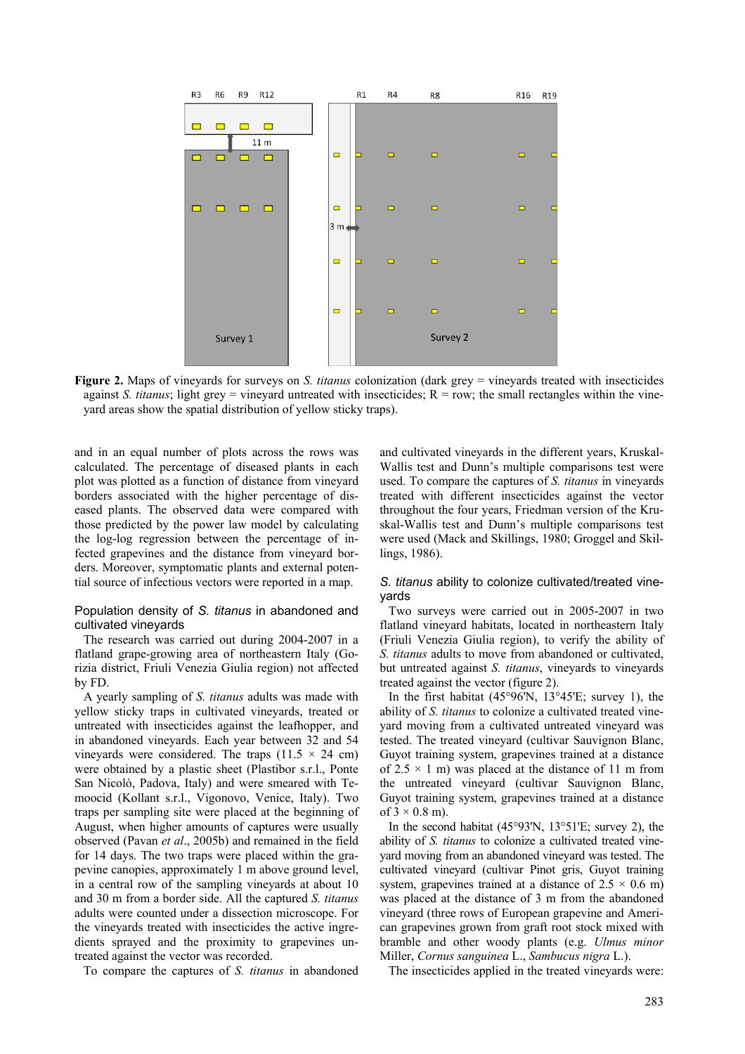

**Figure 2.** Maps of vineyards for surveys on *S. titanus* colonization (dark grey = vineyards treated with insecticides against *S. titanus*; light grey = vineyard untreated with insecticides;  $R = row$ ; the small rectangles within the vineyard areas show the spatial distribution of yellow sticky traps).

and in an equal number of plots across the rows was calculated. The percentage of diseased plants in each plot was plotted as a function of distance from vineyard borders associated with the higher percentage of diseased plants. The observed data were compared with those predicted by the power law model by calculating the log-log regression between the percentage of infected grapevines and the distance from vineyard borders. Moreover, symptomatic plants and external potential source of infectious vectors were reported in a map.

# Population density of *S. titanus* in abandoned and cultivated vineyards

The research was carried out during 2004-2007 in a flatland grape-growing area of northeastern Italy (Gorizia district, Friuli Venezia Giulia region) not affected by FD.

A yearly sampling of *S. titanus* adults was made with yellow sticky traps in cultivated vineyards, treated or untreated with insecticides against the leafhopper, and in abandoned vineyards. Each year between 32 and 54 vineyards were considered. The traps  $(11.5 \times 24 \text{ cm})$ were obtained by a plastic sheet (Plastibor s.r.l., Ponte San Nicolò, Padova, Italy) and were smeared with Temoocid (Kollant s.r.l., Vigonovo, Venice, Italy). Two traps per sampling site were placed at the beginning of August, when higher amounts of captures were usually observed (Pavan *et al*., 2005b) and remained in the field for 14 days. The two traps were placed within the grapevine canopies, approximately 1 m above ground level, in a central row of the sampling vineyards at about 10 and 30 m from a border side. All the captured *S. titanus* adults were counted under a dissection microscope. For the vineyards treated with insecticides the active ingredients sprayed and the proximity to grapevines untreated against the vector was recorded.

To compare the captures of *S. titanus* in abandoned

and cultivated vineyards in the different years, Kruskal-Wallis test and Dunn's multiple comparisons test were used. To compare the captures of *S. titanus* in vineyards treated with different insecticides against the vector throughout the four years, Friedman version of the Kruskal-Wallis test and Dunn's multiple comparisons test were used (Mack and Skillings, 1980; Groggel and Skillings, 1986).

# *S. titanus* ability to colonize cultivated/treated vineyards

Two surveys were carried out in 2005-2007 in two flatland vineyard habitats, located in northeastern Italy (Friuli Venezia Giulia region), to verify the ability of *S. titanus* adults to move from abandoned or cultivated, but untreated against *S. titanus*, vineyards to vineyards treated against the vector (figure 2).

In the first habitat  $(45^{\circ}96^{\prime}N, 13^{\circ}45^{\prime}E;$  survey 1), the ability of *S. titanus* to colonize a cultivated treated vineyard moving from a cultivated untreated vineyard was tested. The treated vineyard (cultivar Sauvignon Blanc, Guyot training system, grapevines trained at a distance of  $2.5 \times 1$  m) was placed at the distance of 11 m from the untreated vineyard (cultivar Sauvignon Blanc, Guyot training system, grapevines trained at a distance of  $3 \times 0.8$  m).

In the second habitat (45°93'N, 13°51'E; survey 2), the ability of *S. titanus* to colonize a cultivated treated vineyard moving from an abandoned vineyard was tested. The cultivated vineyard (cultivar Pinot gris, Guyot training system, grapevines trained at a distance of  $2.5 \times 0.6$  m) was placed at the distance of 3 m from the abandoned vineyard (three rows of European grapevine and American grapevines grown from graft root stock mixed with bramble and other woody plants (e.g. *Ulmus minor* Miller, *Cornus sanguinea* L., *Sambucus nigra* L.).

The insecticides applied in the treated vineyards were: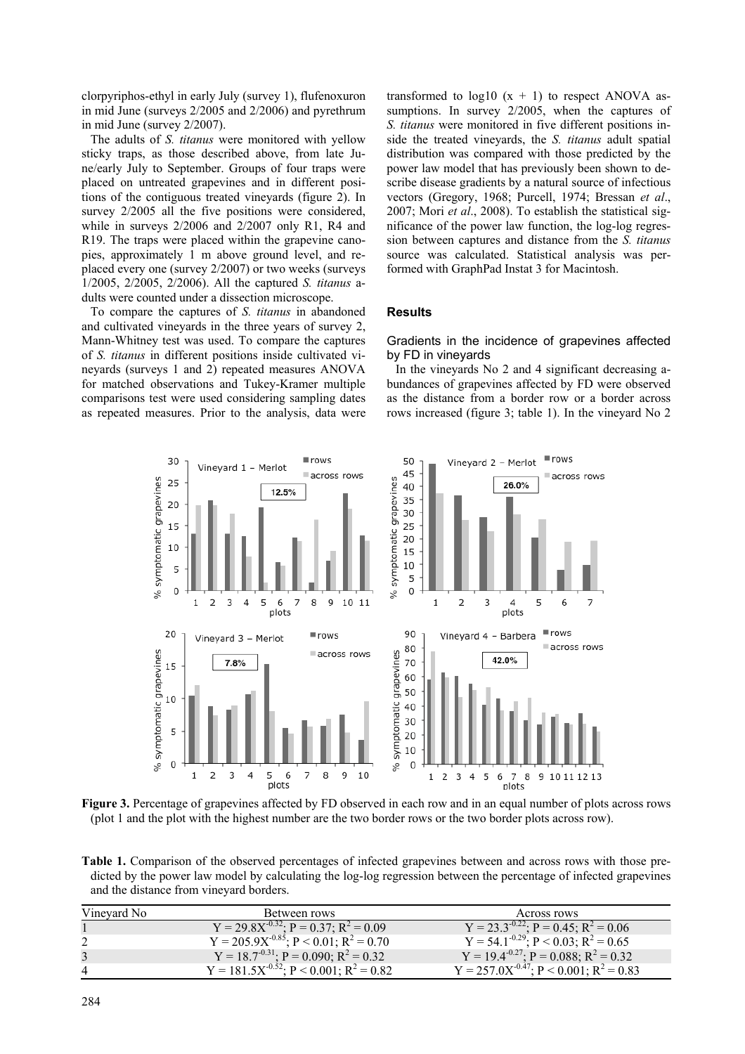clorpyriphos-ethyl in early July (survey 1), flufenoxuron in mid June (surveys 2/2005 and 2/2006) and pyrethrum in mid June (survey 2/2007).

The adults of *S. titanus* were monitored with yellow sticky traps, as those described above, from late June/early July to September. Groups of four traps were placed on untreated grapevines and in different positions of the contiguous treated vineyards (figure 2). In survey  $2/2005$  all the five positions were considered, while in surveys 2/2006 and 2/2007 only R1, R4 and R19. The traps were placed within the grapevine canopies, approximately 1 m above ground level, and replaced every one (survey 2/2007) or two weeks (surveys 1/2005, 2/2005, 2/2006). All the captured *S. titanus* adults were counted under a dissection microscope.

To compare the captures of *S. titanus* in abandoned and cultivated vineyards in the three years of survey 2, Mann-Whitney test was used. To compare the captures of *S. titanus* in different positions inside cultivated vineyards (surveys 1 and 2) repeated measures ANOVA for matched observations and Tukey-Kramer multiple comparisons test were used considering sampling dates as repeated measures. Prior to the analysis, data were transformed to  $log10(x + 1)$  to respect ANOVA assumptions. In survey 2/2005, when the captures of *S. titanus* were monitored in five different positions inside the treated vineyards, the *S. titanus* adult spatial distribution was compared with those predicted by the power law model that has previously been shown to describe disease gradients by a natural source of infectious vectors (Gregory, 1968; Purcell, 1974; Bressan *et al*., 2007; Mori *et al*., 2008). To establish the statistical significance of the power law function, the log-log regression between captures and distance from the *S. titanus* source was calculated. Statistical analysis was performed with GraphPad Instat 3 for Macintosh.

# **Results**

Gradients in the incidence of grapevines affected by FD in vineyards

In the vineyards No 2 and 4 significant decreasing abundances of grapevines affected by FD were observed as the distance from a border row or a border across rows increased (figure 3; table 1). In the vineyard No 2



**Figure 3.** Percentage of grapevines affected by FD observed in each row and in an equal number of plots across rows (plot 1 and the plot with the highest number are the two border rows or the two border plots across row).

**Table 1.** Comparison of the observed percentages of infected grapevines between and across rows with those predicted by the power law model by calculating the log-log regression between the percentage of infected grapevines and the distance from vineyard borders.

| Vinevard No | Between rows                                          | Across rows                                                    |
|-------------|-------------------------------------------------------|----------------------------------------------------------------|
|             | $Y = 29.8X^{-0.32}$ ; $P = 0.37$ ; $R^2 = 0.09$       | Y = 23.3 <sup>-0.22</sup> ; P = 0.45; R <sup>2</sup> = 0.06    |
|             | $Y = 205.9X^{-0.85}$ ; $P < 0.01$ ; $R^2 = 0.70$      | $Y = 54.1^{-0.29}$ ; $P < 0.03$ ; $R^2 = 0.65$                 |
|             | $Y = 18.7^{-0.31}$ ; P = 0.090; R <sup>2</sup> = 0.32 | Y = 19.4 <sup>-0.27</sup> ; P = 0.088; R <sup>2</sup> = 0.32   |
| 4           | $Y = 181.5X^{-0.52}$ ; $P < 0.001$ ; $R^2 = 0.82$     | Y = 257.0X <sup>-0.47</sup> ; P < 0.001; R <sup>2</sup> = 0.83 |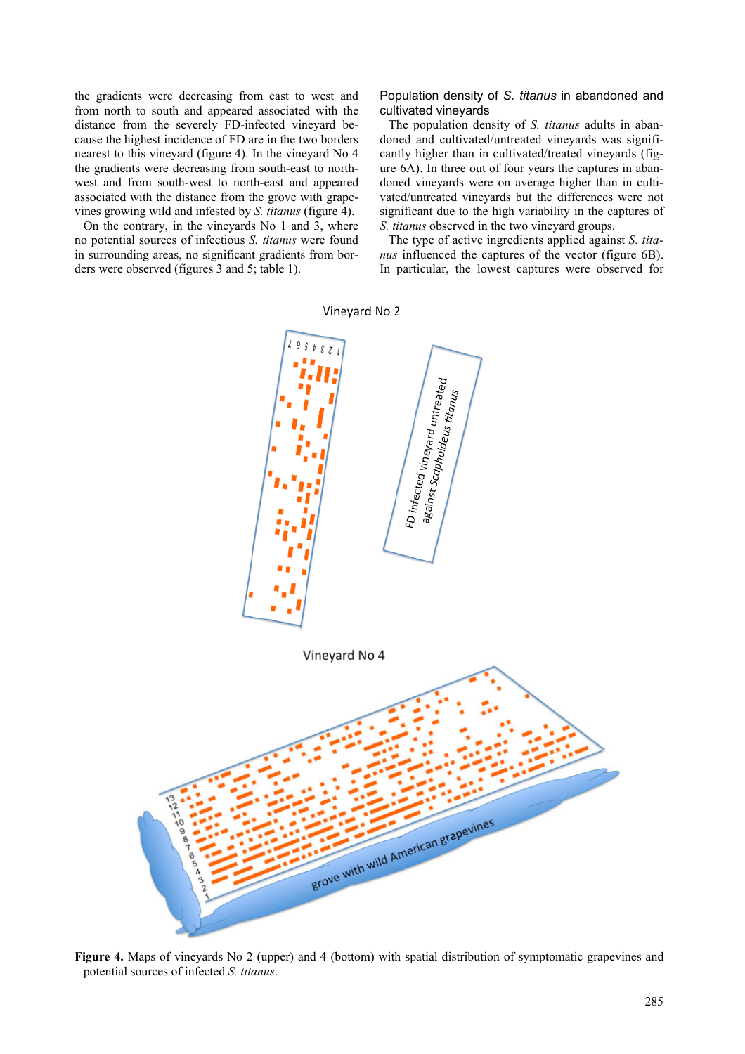the gradients were decreasing from east to west and from north to south and appeared associated with the distance from the severely FD-infected vineyard because the highest incidence of FD are in the two borders nearest to this vineyard (figure 4). In the vineyard No 4 the gradients were decreasing from south-east to northwest and from south-west to north-east and appeared associated with the distance from the grove with grapevines growing wild and infested by *S. titanus* (figure 4).

On the contrary, in the vineyards No 1 and 3, where no potential sources of infectious *S. titanus* were found in surrounding areas, no significant gradients from borders were observed (figures 3 and 5; table 1).

Population density of *S. titanus* in abandoned and cultivated vineyards

The population density of *S. titanus* adults in abandoned and cultivated/untreated vineyards was significantly higher than in cultivated/treated vineyards (figure 6A). In three out of four years the captures in abandoned vineyards were on average higher than in cultivated/untreated vineyards but the differences were not significant due to the high variability in the captures of *S. titanus* observed in the two vineyard groups.

The type of active ingredients applied against *S. titanus* influenced the captures of the vector (figure 6B). In particular, the lowest captures were observed for



**Figure 4.** Maps of vineyards No 2 (upper) and 4 (bottom) with spatial distribution of symptomatic grapevines and potential sources of infected *S. titanus*.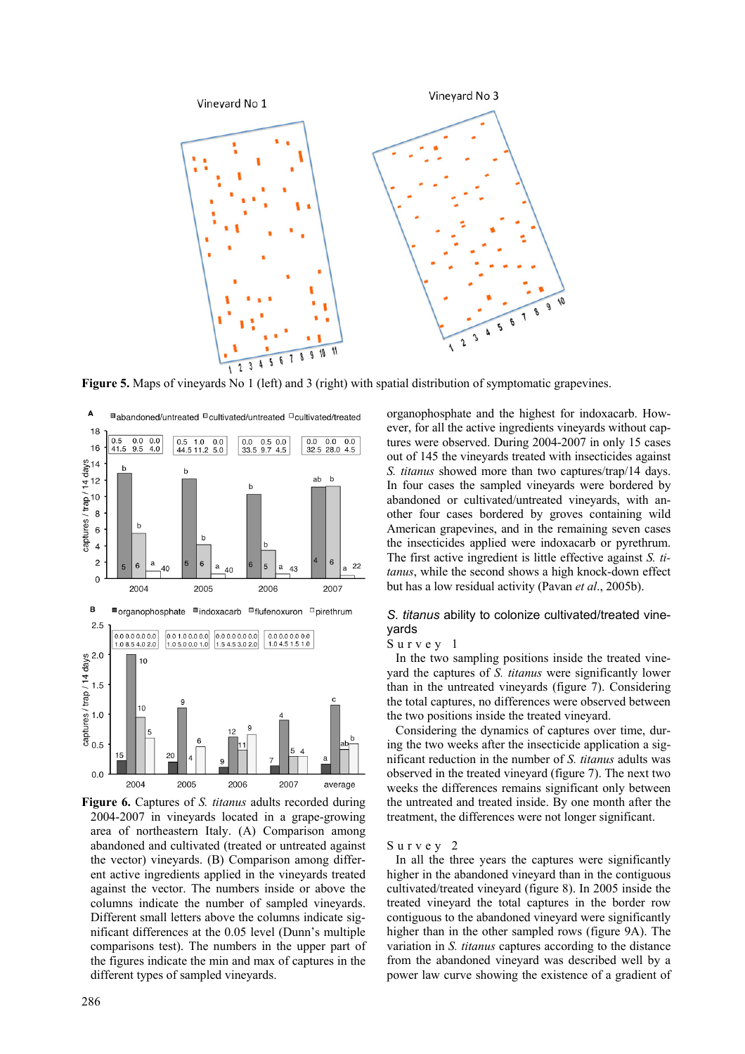

**Figure 5.** Maps of vineyards No 1 (left) and 3 (right) with spatial distribution of symptomatic grapevines.



**Figure 6.** Captures of *S. titanus* adults recorded during 2004-2007 in vineyards located in a grape-growing area of northeastern Italy. (A) Comparison among abandoned and cultivated (treated or untreated against the vector) vineyards. (B) Comparison among different active ingredients applied in the vineyards treated against the vector. The numbers inside or above the columns indicate the number of sampled vineyards. Different small letters above the columns indicate significant differences at the 0.05 level (Dunn's multiple comparisons test). The numbers in the upper part of the figures indicate the min and max of captures in the different types of sampled vineyards.

organophosphate and the highest for indoxacarb. However, for all the active ingredients vineyards without captures were observed. During 2004-2007 in only 15 cases out of 145 the vineyards treated with insecticides against *S. titanus* showed more than two captures/trap/14 days. In four cases the sampled vineyards were bordered by abandoned or cultivated/untreated vineyards, with another four cases bordered by groves containing wild American grapevines, and in the remaining seven cases the insecticides applied were indoxacarb or pyrethrum. The first active ingredient is little effective against *S. titanus*, while the second shows a high knock-down effect but has a low residual activity (Pavan *et al*., 2005b).

# *S. titanus* ability to colonize cultivated/treated vineyards

# Survey 1

In the two sampling positions inside the treated vineyard the captures of *S. titanus* were significantly lower than in the untreated vineyards (figure 7). Considering the total captures, no differences were observed between the two positions inside the treated vineyard.

Considering the dynamics of captures over time, during the two weeks after the insecticide application a significant reduction in the number of *S. titanus* adults was observed in the treated vineyard (figure 7). The next two weeks the differences remains significant only between the untreated and treated inside. By one month after the treatment, the differences were not longer significant.

#### Survey 2

In all the three years the captures were significantly higher in the abandoned vineyard than in the contiguous cultivated/treated vineyard (figure 8). In 2005 inside the treated vineyard the total captures in the border row contiguous to the abandoned vineyard were significantly higher than in the other sampled rows (figure 9A). The variation in *S. titanus* captures according to the distance from the abandoned vineyard was described well by a power law curve showing the existence of a gradient of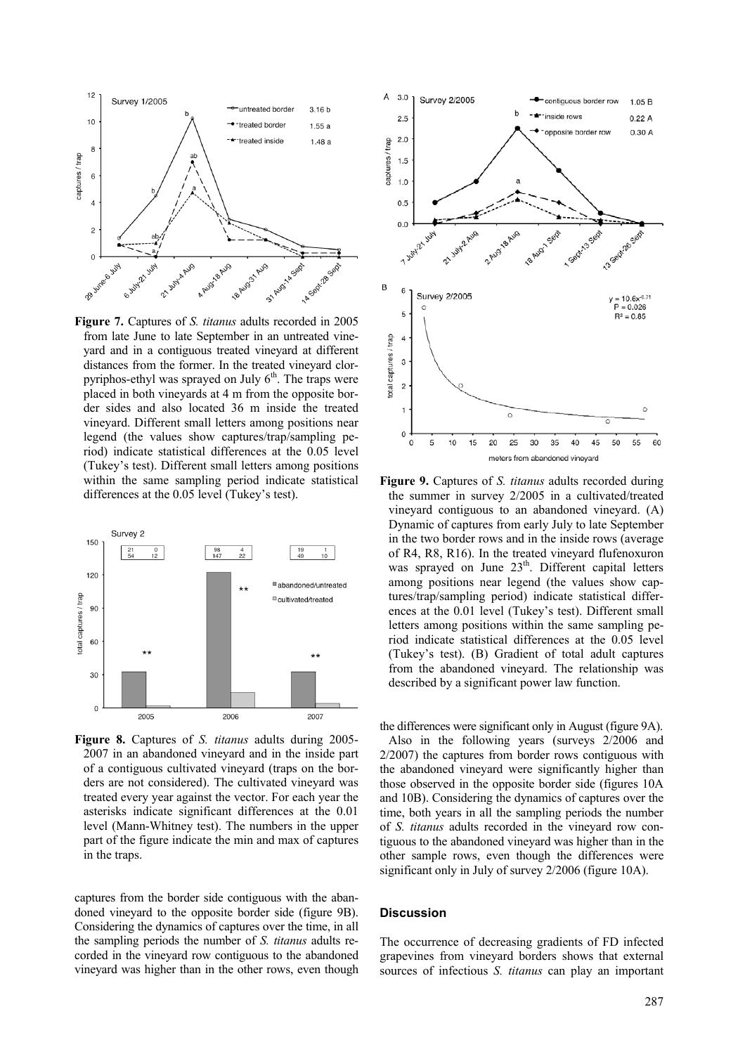

**Figure 7.** Captures of *S. titanus* adults recorded in 2005 from late June to late September in an untreated vineyard and in a contiguous treated vineyard at different distances from the former. In the treated vineyard clorpyriphos-ethyl was sprayed on July  $6<sup>th</sup>$ . The traps were placed in both vineyards at 4 m from the opposite border sides and also located 36 m inside the treated vineyard. Different small letters among positions near legend (the values show captures/trap/sampling period) indicate statistical differences at the 0.05 level (Tukey's test). Different small letters among positions within the same sampling period indicate statistical differences at the 0.05 level (Tukey's test).



**Figure 8.** Captures of *S. titanus* adults during 2005- 2007 in an abandoned vineyard and in the inside part of a contiguous cultivated vineyard (traps on the borders are not considered). The cultivated vineyard was treated every year against the vector. For each year the asterisks indicate significant differences at the 0.01 level (Mann-Whitney test). The numbers in the upper part of the figure indicate the min and max of captures in the traps.

captures from the border side contiguous with the abandoned vineyard to the opposite border side (figure 9B). Considering the dynamics of captures over the time, in all the sampling periods the number of *S. titanus* adults recorded in the vineyard row contiguous to the abandoned vineyard was higher than in the other rows, even though



**Figure 9.** Captures of *S. titanus* adults recorded during the summer in survey 2/2005 in a cultivated/treated vineyard contiguous to an abandoned vineyard. (A) Dynamic of captures from early July to late September in the two border rows and in the inside rows (average of R4, R8, R16). In the treated vineyard flufenoxuron was sprayed on June 23<sup>th</sup>. Different capital letters among positions near legend (the values show captures/trap/sampling period) indicate statistical differences at the 0.01 level (Tukey's test). Different small letters among positions within the same sampling period indicate statistical differences at the 0.05 level (Tukey's test). (B) Gradient of total adult captures from the abandoned vineyard. The relationship was described by a significant power law function.

the differences were significant only in August (figure 9A).

Also in the following years (surveys 2/2006 and 2/2007) the captures from border rows contiguous with the abandoned vineyard were significantly higher than those observed in the opposite border side (figures 10A and 10B). Considering the dynamics of captures over the time, both years in all the sampling periods the number of *S. titanus* adults recorded in the vineyard row contiguous to the abandoned vineyard was higher than in the other sample rows, even though the differences were significant only in July of survey 2/2006 (figure 10A).

### **Discussion**

The occurrence of decreasing gradients of FD infected grapevines from vineyard borders shows that external sources of infectious *S. titanus* can play an important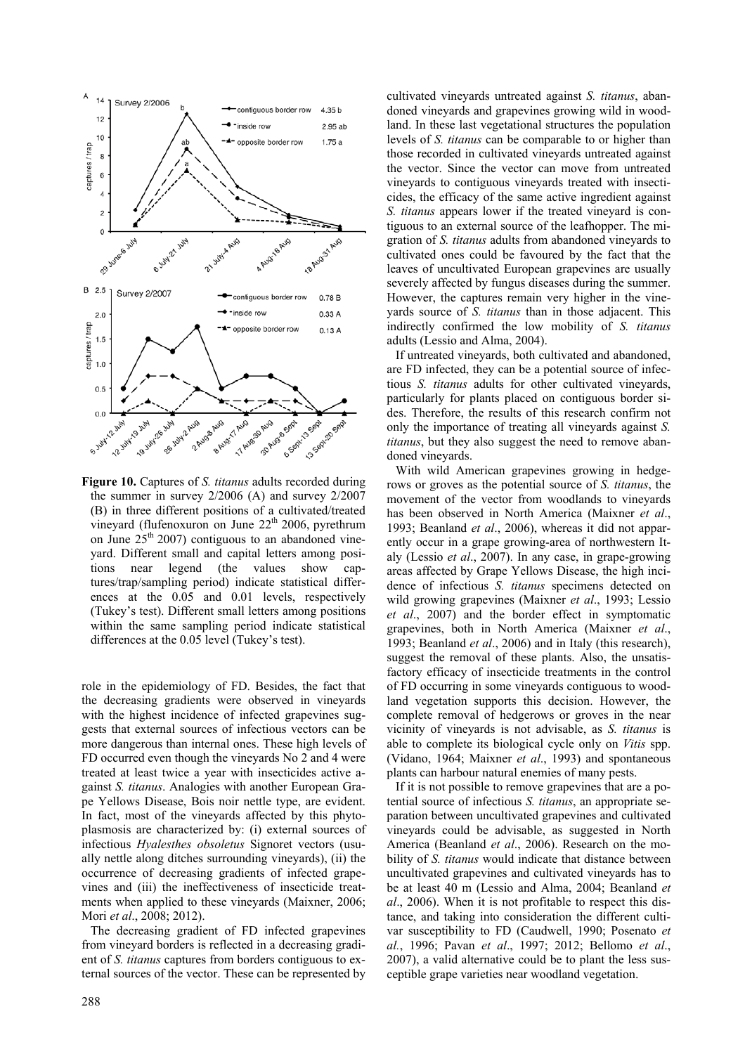

**Figure 10.** Captures of *S. titanus* adults recorded during the summer in survey 2/2006 (A) and survey 2/2007 (B) in three different positions of a cultivated/treated vineyard (flufenoxuron on June  $22<sup>th</sup> 2006$ , pyrethrum on June  $25<sup>th</sup> 2007$  contiguous to an abandoned vineyard. Different small and capital letters among positions near legend (the values show captures/trap/sampling period) indicate statistical differences at the 0.05 and 0.01 levels, respectively (Tukey's test). Different small letters among positions within the same sampling period indicate statistical differences at the 0.05 level (Tukey's test).

role in the epidemiology of FD. Besides, the fact that the decreasing gradients were observed in vineyards with the highest incidence of infected grapevines suggests that external sources of infectious vectors can be more dangerous than internal ones. These high levels of FD occurred even though the vineyards No 2 and 4 were treated at least twice a year with insecticides active against *S. titanus*. Analogies with another European Grape Yellows Disease, Bois noir nettle type, are evident. In fact, most of the vineyards affected by this phytoplasmosis are characterized by: (i) external sources of infectious *Hyalesthes obsoletus* Signoret vectors (usually nettle along ditches surrounding vineyards), (ii) the occurrence of decreasing gradients of infected grapevines and (iii) the ineffectiveness of insecticide treatments when applied to these vineyards (Maixner, 2006; Mori *et al*., 2008; 2012).

The decreasing gradient of FD infected grapevines from vineyard borders is reflected in a decreasing gradient of *S. titanus* captures from borders contiguous to external sources of the vector. These can be represented by cultivated vineyards untreated against *S. titanus*, abandoned vineyards and grapevines growing wild in woodland. In these last vegetational structures the population levels of *S. titanus* can be comparable to or higher than those recorded in cultivated vineyards untreated against the vector. Since the vector can move from untreated vineyards to contiguous vineyards treated with insecticides, the efficacy of the same active ingredient against *S. titanus* appears lower if the treated vineyard is contiguous to an external source of the leafhopper. The migration of *S. titanus* adults from abandoned vineyards to cultivated ones could be favoured by the fact that the leaves of uncultivated European grapevines are usually severely affected by fungus diseases during the summer. However, the captures remain very higher in the vineyards source of *S. titanus* than in those adjacent. This indirectly confirmed the low mobility of *S. titanus* adults (Lessio and Alma, 2004).

If untreated vineyards, both cultivated and abandoned, are FD infected, they can be a potential source of infectious *S. titanus* adults for other cultivated vineyards, particularly for plants placed on contiguous border sides. Therefore, the results of this research confirm not only the importance of treating all vineyards against *S. titanus*, but they also suggest the need to remove abandoned vineyards.

With wild American grapevines growing in hedgerows or groves as the potential source of *S. titanus*, the movement of the vector from woodlands to vineyards has been observed in North America (Maixner *et al*., 1993; Beanland *et al*., 2006), whereas it did not apparently occur in a grape growing-area of northwestern Italy (Lessio *et al*., 2007). In any case, in grape-growing areas affected by Grape Yellows Disease, the high incidence of infectious *S. titanus* specimens detected on wild growing grapevines (Maixner *et al*., 1993; Lessio *et al*., 2007) and the border effect in symptomatic grapevines, both in North America (Maixner *et al*., 1993; Beanland *et al*., 2006) and in Italy (this research), suggest the removal of these plants. Also, the unsatisfactory efficacy of insecticide treatments in the control of FD occurring in some vineyards contiguous to woodland vegetation supports this decision. However, the complete removal of hedgerows or groves in the near vicinity of vineyards is not advisable, as *S. titanus* is able to complete its biological cycle only on *Vitis* spp. (Vidano, 1964; Maixner *et al*., 1993) and spontaneous plants can harbour natural enemies of many pests.

If it is not possible to remove grapevines that are a potential source of infectious *S. titanus*, an appropriate separation between uncultivated grapevines and cultivated vineyards could be advisable, as suggested in North America (Beanland *et al*., 2006). Research on the mobility of *S. titanus* would indicate that distance between uncultivated grapevines and cultivated vineyards has to be at least 40 m (Lessio and Alma, 2004; Beanland *et al*., 2006). When it is not profitable to respect this distance, and taking into consideration the different cultivar susceptibility to FD (Caudwell, 1990; Posenato *et al.*, 1996; Pavan *et al*., 1997; 2012; Bellomo *et al*., 2007), a valid alternative could be to plant the less susceptible grape varieties near woodland vegetation.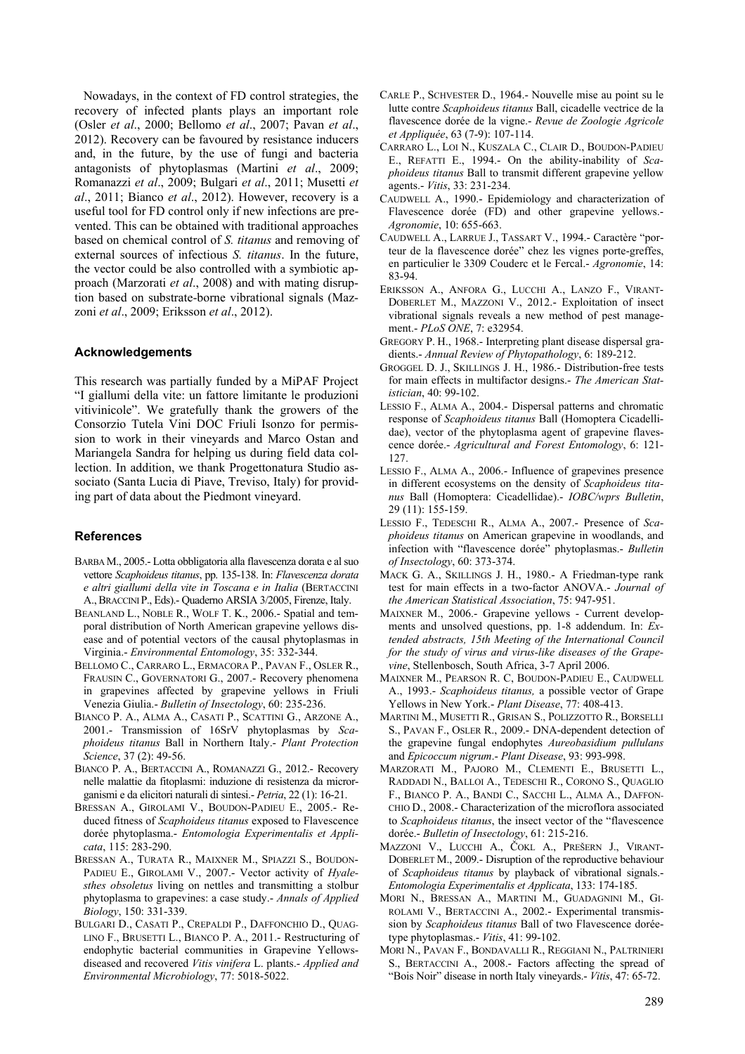Nowadays, in the context of FD control strategies, the recovery of infected plants plays an important role (Osler *et al*., 2000; Bellomo *et al*., 2007; Pavan *et al*., 2012). Recovery can be favoured by resistance inducers and, in the future, by the use of fungi and bacteria antagonists of phytoplasmas (Martini *et al*., 2009; Romanazzi *et al*., 2009; Bulgari *et al*., 2011; Musetti *et al*., 2011; Bianco *et al*., 2012). However, recovery is a useful tool for FD control only if new infections are prevented. This can be obtained with traditional approaches based on chemical control of *S. titanus* and removing of external sources of infectious *S. titanus*. In the future, the vector could be also controlled with a symbiotic approach (Marzorati *et al*., 2008) and with mating disruption based on substrate-borne vibrational signals (Mazzoni *et al*., 2009; Eriksson *et al*., 2012).

# **Acknowledgements**

This research was partially funded by a MiPAF Project "I giallumi della vite: un fattore limitante le produzioni vitivinicole". We gratefully thank the growers of the Consorzio Tutela Vini DOC Friuli Isonzo for permission to work in their vineyards and Marco Ostan and Mariangela Sandra for helping us during field data collection. In addition, we thank Progettonatura Studio associato (Santa Lucia di Piave, Treviso, Italy) for providing part of data about the Piedmont vineyard.

# **References**

- BARBA M., 2005.- Lotta obbligatoria alla flavescenza dorata e al suo vettore *Scaphoideus titanus*, pp. 135-138. In: *Flavescenza dorata e altri giallumi della vite in Toscana e in Italia* (BERTACCINI A.,BRACCINI P., Eds).- Quaderno ARSIA 3/2005, Firenze, Italy.
- BEANLAND L., NOBLE R., WOLF T. K., 2006.- Spatial and temporal distribution of North American grapevine yellows disease and of potential vectors of the causal phytoplasmas in Virginia.- *Environmental Entomology*, 35: 332-344.
- BELLOMO C., CARRARO L., ERMACORA P., PAVAN F., OSLER R., FRAUSIN C., GOVERNATORI G., 2007.- Recovery phenomena in grapevines affected by grapevine yellows in Friuli Venezia Giulia.- *Bulletin of Insectology*, 60: 235-236.
- BIANCO P. A., ALMA A., CASATI P., SCATTINI G., ARZONE A., 2001.- Transmission of 16SrV phytoplasmas by *Scaphoideus titanus* Ball in Northern Italy.- *Plant Protection Science*, 37 (2): 49-56.
- BIANCO P. A., BERTACCINI A., ROMANAZZI G., 2012.- Recovery nelle malattie da fitoplasmi: induzione di resistenza da microrganismi e da elicitori naturali di sintesi.- *Petria*, 22 (1): 16-21.
- BRESSAN A., GIROLAMI V., BOUDON-PADIEU E., 2005.- Reduced fitness of *Scaphoideus titanus* exposed to Flavescence dorée phytoplasma.- *Entomologia Experimentalis et Applicata*, 115: 283-290.
- BRESSAN A., TURATA R., MAIXNER M., SPIAZZI S., BOUDON-PADIEU E., GIROLAMI V., 2007.- Vector activity of *Hyalesthes obsoletus* living on nettles and transmitting a stolbur phytoplasma to grapevines: a case study.- *Annals of Applied Biology*, 150: 331-339.
- BULGARI D., CASATI P., CREPALDI P., DAFFONCHIO D., QUAG-LINO F., BRUSETTI L., BIANCO P. A., 2011.- Restructuring of endophytic bacterial communities in Grapevine Yellowsdiseased and recovered *Vitis vinifera* L. plants.- *Applied and Environmental Microbiology*, 77: 5018-5022.
- CARLE P., SCHVESTER D., 1964.- Nouvelle mise au point su le lutte contre *Scaphoideus titanus* Ball, cicadelle vectrice de la flavescence dorée de la vigne.- *Revue de Zoologie Agricole et Appliquée*, 63 (7-9): 107-114.
- CARRARO L., LOI N., KUSZALA C., CLAIR D., BOUDON-PADIEU E., REFATTI E., 1994.- On the ability-inability of *Scaphoideus titanus* Ball to transmit different grapevine yellow agents.- *Vitis*, 33: 231-234.
- CAUDWELL A., 1990.- Epidemiology and characterization of Flavescence dorée (FD) and other grapevine yellows.- *Agronomie*, 10: 655-663.
- CAUDWELL A., LARRUE J., TASSART V., 1994.- Caractère "porteur de la flavescence dorée" chez les vignes porte-greffes, en particulier le 3309 Couderc et le Fercal.- *Agronomie*, 14: 83-94.
- ERIKSSON A., ANFORA G., LUCCHI A., LANZO F., VIRANT-DOBERLET M., MAZZONI V., 2012.- Exploitation of insect vibrational signals reveals a new method of pest management.- *PLoS ONE*, 7: e32954.
- GREGORY P. H., 1968.- Interpreting plant disease dispersal gradients.- *Annual Review of Phytopathology*, 6: 189-212.
- GROGGEL D. J., SKILLINGS J. H., 1986.- Distribution-free tests for main effects in multifactor designs.- *The American Statistician*, 40: 99-102.
- LESSIO F., ALMA A., 2004.- Dispersal patterns and chromatic response of *Scaphoideus titanus* Ball (Homoptera Cicadellidae), vector of the phytoplasma agent of grapevine flavescence dorée.- *Agricultural and Forest Entomology*, 6: 121- 127.
- LESSIO F., ALMA A., 2006.- Influence of grapevines presence in different ecosystems on the density of *Scaphoideus titanus* Ball (Homoptera: Cicadellidae).- *IOBC/wprs Bulletin*, 29 (11): 155-159.
- LESSIO F., TEDESCHI R., ALMA A., 2007.- Presence of *Scaphoideus titanus* on American grapevine in woodlands, and infection with "flavescence dorée" phytoplasmas.- *Bulletin of Insectology*, 60: 373-374.
- MACK G. A., SKILLINGS J. H., 1980.- A Friedman-type rank test for main effects in a two-factor ANOVA.- *Journal of the American Statistical Association*, 75: 947-951.
- MAIXNER M., 2006.- Grapevine yellows Current developments and unsolved questions, pp. 1-8 addendum. In: *Extended abstracts, 15th Meeting of the International Council for the study of virus and virus-like diseases of the Grapevine*, Stellenbosch, South Africa, 3-7 April 2006.
- MAIXNER M., PEARSON R. C, BOUDON-PADIEU E., CAUDWELL A., 1993.- *Scaphoideus titanus,* a possible vector of Grape Yellows in New York.- *Plant Disease*, 77: 408-413.
- MARTINI M., MUSETTI R., GRISAN S., POLIZZOTTO R., BORSELLI S., PAVAN F., OSLER R., 2009.- DNA-dependent detection of the grapevine fungal endophytes *Aureobasidium pullulans* and *Epicoccum nigrum*.- *Plant Disease*, 93: 993-998.
- MARZORATI M., PAJORO M., CLEMENTI E., BRUSETTI L., RADDADI N., BALLOI A., TEDESCHI R., CORONO S., QUAGLIO F., BIANCO P. A., BANDI C., SACCHI L., ALMA A., DAFFON-CHIO D., 2008.- Characterization of the microflora associated to *Scaphoideus titanus*, the insect vector of the "flavescence dorée.- *Bulletin of Insectology*, 61: 215-216.
- MAZZONI V., LUCCHI A., ČOKL A., PREŠERN J., VIRANT-DOBERLET M., 2009.- Disruption of the reproductive behaviour of *Scaphoideus titanus* by playback of vibrational signals.- *Entomologia Experimentalis et Applicata*, 133: 174-185.
- MORI N., BRESSAN A., MARTINI M., GUADAGNINI M., GI-ROLAMI V., BERTACCINI A., 2002.- Experimental transmission by *Scaphoideus titanus* Ball of two Flavescence doréetype phytoplasmas.- *Vitis*, 41: 99-102.
- MORI N., PAVAN F., BONDAVALLI R., REGGIANI N., PALTRINIERI S., BERTACCINI A., 2008.- Factors affecting the spread of "Bois Noir" disease in north Italy vineyards.- *Vitis*, 47: 65-72.